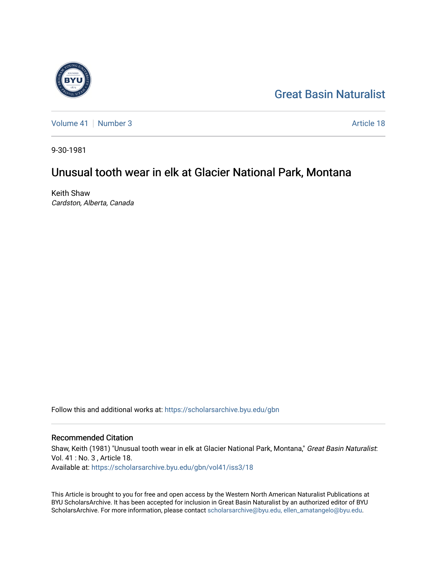

[Great Basin Naturalist](https://scholarsarchive.byu.edu/gbn) 

[Volume 41](https://scholarsarchive.byu.edu/gbn/vol41) [Number 3](https://scholarsarchive.byu.edu/gbn/vol41/iss3) Article 18

9-30-1981

# Unusual tooth wear in elk at Glacier National Park, Montana

Keith Shaw Cardston, Alberta, Canada

Follow this and additional works at: [https://scholarsarchive.byu.edu/gbn](https://scholarsarchive.byu.edu/gbn?utm_source=scholarsarchive.byu.edu%2Fgbn%2Fvol41%2Fiss3%2F18&utm_medium=PDF&utm_campaign=PDFCoverPages) 

## Recommended Citation

Shaw, Keith (1981) "Unusual tooth wear in elk at Glacier National Park, Montana," Great Basin Naturalist: Vol. 41 : No. 3 , Article 18. Available at: [https://scholarsarchive.byu.edu/gbn/vol41/iss3/18](https://scholarsarchive.byu.edu/gbn/vol41/iss3/18?utm_source=scholarsarchive.byu.edu%2Fgbn%2Fvol41%2Fiss3%2F18&utm_medium=PDF&utm_campaign=PDFCoverPages) 

This Article is brought to you for free and open access by the Western North American Naturalist Publications at BYU ScholarsArchive. It has been accepted for inclusion in Great Basin Naturalist by an authorized editor of BYU ScholarsArchive. For more information, please contact [scholarsarchive@byu.edu, ellen\\_amatangelo@byu.edu.](mailto:scholarsarchive@byu.edu,%20ellen_amatangelo@byu.edu)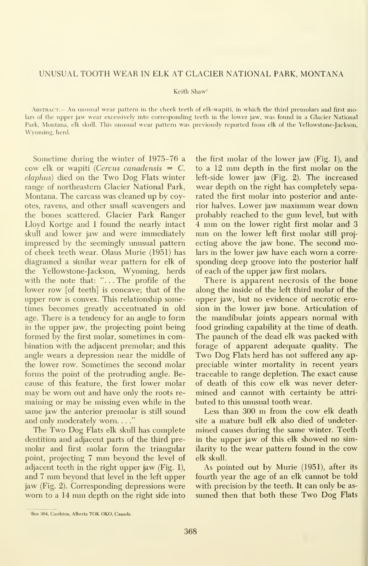#### UNUSUAL TOOTH WEAR IN ELK AT GLACIER NATIONAL PARK, MONTANA

#### Keith Shaw'

Abstract.— An unusual wear pattern in the cheek teeth of elk-wapiti, in which the third premolars and first molars of the upper jaw wear excessively into corresponding teeth in the lower jaw, was found in a Glacier National Park, Montana, elk skull. This unusual wear pattern was previously reported from elk of the Yellowstone-Jackson, Wyoming, herd.

Sometime during the winter of 1975-76 a cow elk or wapiti (Cervus canadensis  $= C$ . elaphus) died on the Two Dog Flats winter range of northeastern Glacier National Park, Montana. The carcass was cleaned up by coyotes, ravens, and other small scavengers and the bones scattered. Glacier Park Ranger Lloyd Kortge and 1 found the nearly intact skull and lower jaw and were immediately impressed by the seemingly unusual pattern of cheek teeth wear. Olaus Murie (1951) has diagramed a similar wear pattern for elk of the Yellowstone-Jackson, Wyoming, herds with the note that: "... The profile of the lower row [of teeth] is concave; that of the upper row is convex. This relationship sometimes becomes greatly accentuated in old age. There is a tendency for an angle to form in the upper jaw, the projecting point being formed by the first molar, sometimes in combination with the adjacent premolar; and this angle wears a depression near the middle of the lower row. Sometimes the second molar forms the point of the protruding angle. Because of this feature, the first lower molar may be worn out and have only the roots re maining or may be missing even while in the same jaw the anterior premolar is still sound and only moderately worn...."

The Two Dog Flats elk skull has complete dentition and adjacent parts of the third pre molar and first molar form the triangular point, projecting <sup>7</sup> mm beyond the level of adjacent teeth in the right upper jaw (Fig. 1), and <sup>7</sup> mm beyond that level in the left upper jaw (Fig. 2). Corresponding depressions were worn to <sup>a</sup> <sup>14</sup> mm depth on the right side into

the first molar of the lower jaw (Fig. 1), and to <sup>a</sup> <sup>12</sup> mm depth in the first molar on the left-side lower jaw (Fig. 2). The increased wear depth on the right has completely sepa rated the first molar into posterior and anterior halves. Lower jaw maximum wear down probably reached to the gum level, but with <sup>4</sup> mm on the lower right first molar and <sup>3</sup> mm on the lower left first molar still projecting above the jaw bone. The second molars in the lower jaw have each worn a corre sponding deep groove into the posterior half of each of the upper jaw first molars.

There is apparent necrosis of the bone along the inside of the left third molar of the upper jaw, but no evidence of necrotic erosion in the lower jaw bone. Articulation of the mandibular joints appears normal with food grinding capability at the time of death. The paunch of the dead elk was packed with forage of apparent adequate quality. The Two Dog Flats herd has not suffered any appreciable winter mortality in recent years traceable to range depletion. The exact cause of death of this cow elk was never deter mined and cannot with certainty be attri buted to this unusual tooth wear.

Less than <sup>300</sup> m from the cow elk death site a mature bull elk also died of undetermined causes during the same winter. Teeth in the upper jaw of this elk showed no similarity to the wear pattern found in the cow elk skull.

As pointed out by Murie (1951), after its fourth year the age of an elk cannot be told with precision by the teeth. It can only be as sumed then that both these Two Dog Flats

<sup>&#</sup>x27;Box 364, Cardston, Alberta TDK OKO, Canada.